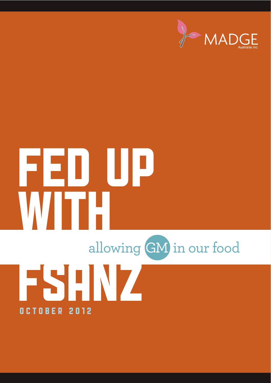

# FED UP WITH FSANZ allowing GM in our food October 2012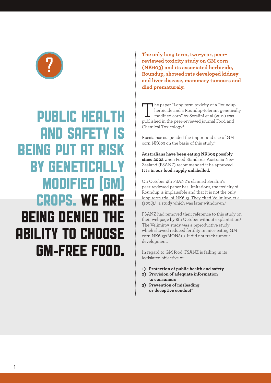

### PUBLIC HEALTH AND SAFETY IS BEING PUT AT RISK BY GENETICALLY MODIFIED (GM) CROPS. WE ARE BEING DENIED THE ABILITY TO CHOOSE GM-FREE FOOD.

**The only long term, two-year, peerreviewed toxicity study on GM corn (NK603) and its associated herbicide, Roundup, showed rats developed kidney and liver disease, mammary tumours and died prematurely.**

The paper "Long term toxicity of a Roundup herbicide and a Roundup-tolerant genetically modified corn" by Seralini et al (2012) was published in the peer-reviewed journal Food and Chemical Toxicology.1

Russia has suspended the import and use of GM corn NK603 on the basis of this study.<sup>2</sup>

**Australians have been eating NK603 possibly since 2002** when Food Standards Australia New Zealand (FSANZ) recommended it be approved. **It is in our food supply unlabelled.**

On October 4th FSANZ's claimed Seralini's peer-reviewed paper has limitations, the toxicity of Roundup is implausible and that it is not the only long-term trial of NK603. They cited Velimirov, et al,  $(2008)<sup>3</sup>$  a study which was later withdrawn.<sup>4</sup>

FSANZ had removed their reference to this study on their webpage by 8th October without explantation.5 The Velimirov study was a reproductive study which showed reduced fertility in mice eating GM corn NK603xMON810. It did not track tumour development.

In regard to GM food, FSANZ is failing in its legislated objective of:

- **1) Protection of public health and safety**
- **2) Provision of adequate information to consumers**
- **3) Prevention of misleading**  or deceptive conduct<sup>6</sup>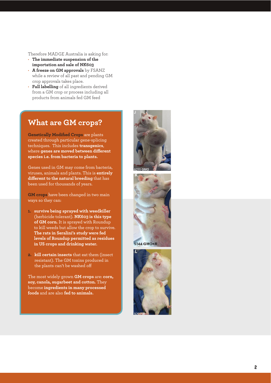Therefore MADGE Australia is asking for:

- **f** The immediate suspension of the **importation and sale of NK603**
- **· A freeze on GM approvals** by FSANZ while a review of all past and pending GM crop approvals takes place.
- Full labelling of all ingredients derived from a GM crop or process including all products from animals fed GM feed

### **What are GM crops?**

**Genetically Modified Crops** are plants created through particular gene-splicing techniques. This includes **transgenics**, where **genes are moved between di !erent species i.e. from bacteria to plants.** 

Genes used in GM may come from bacteria, viruses, animals and plants. This is **entirely di !erent to the natural breeding** that has been used for thousands of years.

**GM crops** have been changed in two main ways so they can:

- **1. survive being sprayed with weedkiller** (herbicide tolerant). **NK603 is this type of GM corn.** It is sprayed with Roundup to kill weeds but allow the crop to survive. **The rats in Seralini's study were fed levels of Roundup permitted as residues in US crops and drinking water.**
- **2. kill certain insects** that eat them (insect resistant). The GM toxins produced in the plants can't be washed off

The most widely grown **GM crops** are: **corn, soy, canola, sugarbeet and cotton.** They become **ingredients in many processed foods** and are also **fed to animals.** 







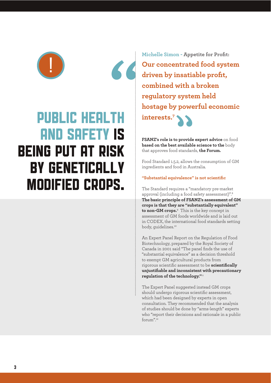

### PUBLIC HEALTH AND SAFETY IS BEING PUT AT RISK BY GENETICALLY MODIFIED CROPS.

**Michelle Simon - Appetite for Profit: Our concentrated food system driven by insatiable profit, combined with a broken regulatory system held hostage by powerful economic interests.7** 

**FSANZ's role is to provide expert advice** on food **based on the best available science to the** body that approves food standards, **the Forum.**

Food Standard 1.5.2, allows the consumption of GM ingredients and food in Australia.

### **"Substantial equivalence" is not scientific**

The Standard requires a "mandatory pre-market approval (including a food safety assessment)".8 **The basic principle of FSANZ's assessment of GM crops is that they are "substantially equivalent" to non-GM crops.**<sup>9</sup> This is the key concept in assessment of GM foods worldwide and is laid out in CODEX, the international food standards setting body, quidelines.<sup>10</sup>

An Expert Panel Report on the Regulation of Food Biotechnology, prepared by the Royal Society of Canada in 2001 said "The panel finds the use of "substantial equivalence" as a decision threshold to exempt GM agricultural products from rigorous scientific assessment to be **scientifically unjustifiable and inconsistent with precautionary regulation of the technology."**<sup>11</sup>

The Expert Panel suggested instead GM crops should undergo rigorous scientific assessment, which had been designed by experts in open consultation. They recommended that the analysis of studies should be done by "arms-length" experts who "report their decisions and rationale in a public forum".12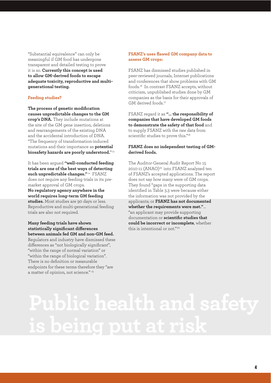"Substantial equivalence" can only be meaningful if GM food has undergone transparent and detailed testing to prove it is so. **Currently this concept is used to allow GM-derived foods to escape adequate toxicity, reproductive and multigenerational testing.** 

#### **Feeding studies?**

**The process of genetic modification causes unpredictable changes to the GM crop's DNA.** They include mutations at the site of the GM gene insertion, deletions and rearrangements of the existing DNA and the accidental introduction of DNA. "The frequency of transformation-induced mutations and their importance as **potential biosafety hazards are poorly understood.**"13

It has been argued **"well-conducted feeding trials are one of the best ways of detecting such unpredictable changes."** 14 FSANZ does not require any feeding trials in its premarket approval of GM crops. **No regulatory agency anywhere in the world requires long-term GM feeding studies.** Most studies are 90 days or less. Reproductive and multi-generational feeding trials are also not required.

**Many feeding trials have shown**   $statistically$  significant differences **between animals fed GM and non-GM feed.**  Regulators and industry have dismissed these differences as "not biologically significant", "within the range of normal variation" or "within the range of biological variation". There is no definition or measurable endpoints for these terms therefore they "are

a matter of opinion, not science."<sup>15</sup>

#### **FSANZ's uses flawed GM company data to assess GM crops:**

FSANZ has dismissed studies published in peer-reviewed journals, Internet publications and conferences that show problems with GM foods.16 In contrast FSANZ accepts, without criticism, unpublished studies done by GM companies as the basis for their approvals of GM derived foods.<sup>17</sup>

FSANZ regard it as **"… the responsibility of companies that have developed GM foods to demonstrate the safety of that food** and to supply FSANZ with the raw data from scientific studies to prove this."<sup>18</sup>

#### **FSANZ does no independent testing of GMderived foods.**

The Auditor-General Audit Report No 15 2010-11 (ANAO)<sup>19</sup> into FSANZ analyzed ten of FSANZ's accepted applications. The report does not say how many were of GM crops. They found "gaps in the supporting data identified in Table 3.3 were because either the information was not provided by the applicants; or **FSANZ has not documented whether the requirements were met."**... "an applicant may provide supporting documentation or **scientific studies that could be incorrect or incomplete**, whether this is intentional or not."<sup>20</sup>

# **Public health and safety is being put at risk**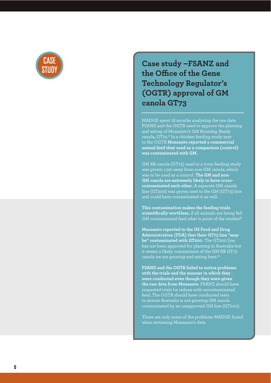

**Case study –FSANZ and the O "ce of the Gene Technology Regulator's (OGTR) approval of GM canola GT73**

MADGE spent 18 months analyzing the raw data FSANZ and the OGTR used to approve the planting and eating of Monsanto's GM Roundup Ready canola, GT73.21 In a chicken feeding study sent to the OGTR **Monsanto reported a commercial animal feed they used as a comparison (control) was contaminated with GM.** 

GM RR canola (GT73) used in a trout feeding study was grown 1.5m away from non-GM canola, which was to be used as a control. **The GM and non-GM canola are extremely likely to have crosscontaminated each other.** A separate GM canola line (GT200) was grown next to the GM (GT73) line and could have contaminated it as well.

**This contamination makes the feeding trials scientifically worthless**, if all animals are being fed GM contaminated feed what is point of the studies?

**Monsanto reported to the US Food and Drug Administration (FDA) that their GT73 line "may be" contaminated with GT200.** The GT200 line has not been approved for planting in Australia but it seems a likely contaminant of the GM RR GT73 canola we are growing and eating here.<sup>22</sup>

**FSANZ and the OGTR failed to notice problems with the trials and the manner in which they were conducted even though they were given the raw data from Monsanto.** FSANZ should have requested trials be redone with uncontaminated feed. The OGTR should have conducted tests to ensure Australia is not growing GM canola contaminated by an unapproved GM line (GT200).

These are only some of the problems MADGE found when reviewing Monsanto's data.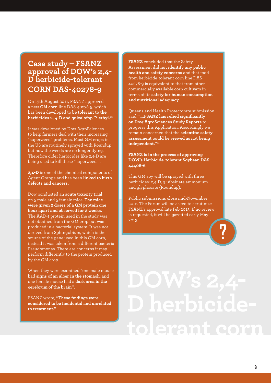### **Case study – FSANZ approval of DOW's 2,4- D herbicide-tolerant CORN DAS-40278-9**

On 19th August 2011, FSANZ approved a new **GM corn** line DAS-40278-9, which has been developed to be **tolerant to the herbicides 2, 4-D and quizalofop-P-ethyl.**23

It was developed by Dow AgroSciences to help farmers deal with their increasing "superweed" problems. Most GM crops in the US are routinely sprayed with Roundup but now the weeds are no longer dying. Therefore older herbicides like 2,4-D are being used to kill these "superweeds".

**2,4-D** is one of the chemical components of Agent Orange and has been **linked to birth defects and cancers.** 

Dow conducted an **acute toxicity trial** on 5 male and 5 female mice. **The mice were given 2 doses of a GM protein one hour apart and observed for 2 weeks.**  The AAD-1 protein used in the study was not obtained from the GM crop but was produced in a bacterial system. It was not derived from Sphingobium, which is the source of the gene used in this GM corn, instead it was taken from a different bacteria Pseudomonas. There are concerns it may perform differently to the protein produced by the GM crop.

When they were examined "one male mouse had **signs of an ulcer in the stomach**, and one female mouse had a **dark area in the cerebrum of the brain".**

FSANZ wrote, **"These findings were considered to be incidental and unrelated to treatment."**

**FSANZ** concluded that the Safety Assessment **did not identify any public health and safety concerns** and that food from herbicide-tolerant corn line DAS-40278-9 is equivalent to that from other commercially available corn cultivars in terms of its **safety for human consumption and nutritional adequacy.** 

Queensland Health Protectorate submission said **"….FSANZ has relied significantly on Dow AgroSciences Study Reports** to progress this Application. Accordingly we remain concerned that the **scientific safety assessment could be viewed as not being independent."**<sup>24</sup>

**FSANZ is in the process of approving DOW's Herbicide-tolerant Soybean DAS-44406-6**

This GM soy will be sprayed with three herbicides: 2,4-D, glufosinate ammonium and glyphosate (Roundup).

Public submissions close mid-November 2012. The Forum will be asked to scrutinize FSANZ's approval late Feb 2013. If no review is requested, it will be gazetted early May 2013.

**?**

# **DOW's 2,4- D herbicidetolerant corn**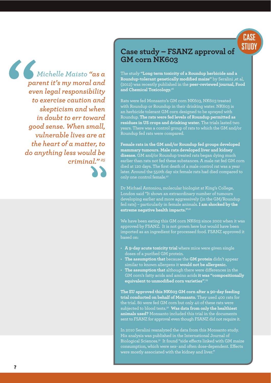

*Michelle Maisto "as a parent it's my moral and even legal responsibility to exercise caution and skepticism and when in doubt to err toward good sense. When small, vulnerable lives are at the heart of a matter, to do anything less would be criminal." 25*

### **Case study – FSANZ approval of GM corn NK603**

The study **"Long term toxicity of a Roundup herbicide and a Roundup-tolerant genetically modified maize"** by Seralini ,et al, (2012) was recently published in the **peer-reviewed journal, Food and Chemical Toxicology.**<sup>26</sup>

Rats were fed Monsanto's GM corn NK603, NK603 treated with Roundup or Roundup in their drinking water. NK603 is an herbicide tolerant GM corn designed to be sprayed with Roundup. **The rats were fed levels of Roundup permitted as residues in US crops and drinking water.** The trials lasted two years. There was a control group of rats to which the GM and/or Roundup fed rats were compared.

**Female rats in the GM and/or Roundup fed groups developed mammary tumours. Male rats developed liver and kidney disease.** GM and/or Roundup treated rats began dying much earlier than rats not fed these substances. A male rat fed GM corn died at 120 days. The first death of a male control rat was a year later. Around the 550th day six female rats had died compared to only one control female.<sup>27</sup>

Dr Michael Antoniou, molecular biologist at King's College, London said "It shows an extraordinary number of tumours developing earlier and more aggressively (in the GM/Roundup fed rats) – particularly in female animals. **I am shocked by the extreme negative health impacts."**<sup>28</sup>

We have been eating this GM corn NK603 since 2002 when it was approved by FSANZ. It is not grown here but would have been imported as an ingredient for processed food. FSANZ approved it based on:

- A 9-day acute toxicity trial where mice were given single doses of a purified GM protein.
- The assumption that because the **GM** protein didn't appear similar to known allergens it **would not be allergenic.**
- The assumption that although there were differences in the GM corn's fatty acids and amino acids **it was "compositionally equivalent to unmodified corn varieties"**. 29

**The EU approved this NK603 GM corn after a 90-day feeding trial conducted on behalf of Monsanto.** They used 400 rats for the trial. 80 were fed GM corn but only 40 of these rats were subjected to blood tests.30 **Was data from only the healthiest animals used?** Monsanto included this trial in the documents sent to FSANZ for approval even though FSANZ did not require it.

In 2010 Seralini reanalyzed the data from this Monsanto study. His analysis was published in the International Journal of Biological Sciences.<sup>31</sup> It found "side effects linked with GM maize consumption, which were sex- and often dose-dependent. Effects were mostly associated with the kidney and liver."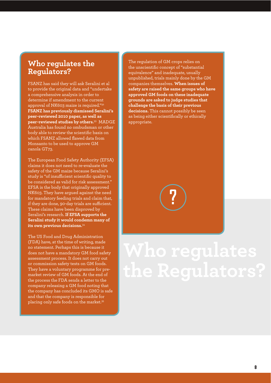### **Who regulates the Regulators?**

FSANZ has said they will ask Seralini et al to provide the original data and "undertake a comprehensive analysis in order to determine if amendment to the current approval of NK603 maize is required."32 **FSANZ has previously dismissed Seralini's peer-reviewed 2010 paper, as well as peer-reviewed studies by others.**33 MADGE Australia has found no ombudsman or other body able to review the scientific basis on which FSANZ allowed flawed data from Monsanto to be used to approve GM canola GT73.

The European Food Safety Authority (EFSA) claims it does not need to re-evaluate the safety of the GM maize because Seralini's study is "of insufficient scientific quality to be considered as valid for risk assessment." EFSA is the body that originally approved NK603. They have argued against the need for mandatory feeding trials and claim that, if they are done, 90-day trials are sufficient. These claims have been disproved by Seralini's research. **If EFSA supports the Seralini study it would condemn many of its own previous decisions.**34

The US Food and Drug Administration (FDA) have, at the time of writing, made no statement. Perhaps this is because it does not have a mandatory GM food safety assessment process. It does not carry out or commission safety tests on GM foods. They have a voluntary programme for premarket review of GM foods. At the end of the process the FDA sends a letter to the company releasing a GM food noting that the company has concluded its GMO is safe and that the company is responsible for placing only safe foods on the market.35

The regulation of GM crops relies on the unscientific concept of "substantial equivalence" and inadequate, usually unpublished, trials mainly done by the GM companies themselves. **When issues of safety are raised the same groups who have approved GM foods on these inadequate grounds are asked to judge studies that challenge the basis of their previous decisions.** This cannot possibly be seen as being either scientifically or ethically appropriate.



## **Who regulates the Regulators?**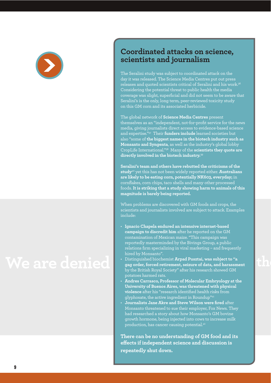

### **Coordinated attacks on science, scientists and journalism**

The Seralini study was subject to coordinated attack on the day it was released. The Science Media Centres put out press releases and quoted scientists critical of Seralini and his work.36 Considering the potential threat to public health the media coverage was slight, superficial and did not seem to be aware that Seralini's is the only, long term, peer-reviewed toxicity study on this GM corn and its associated herbicide.

The global network of **Science Media Centres** present themselves as an "independent, not-for-profit service for the news media, giving journalists direct access to evidence-based science and expertise."37 Their **funders include** learned societies but also "some of **the biggest names in the biotech industry such as Monsanto and Syngenta**, as well as the industry's global lobby CropLife International."38 Many of the **scientists they quote are directly involved in the biotech industry.**<sup>39</sup>

**Seralini's team and others have rebutted the criticisms of the study**40 yet this has not been widely reported either. **Australians are likely to be eating corn, potentially NK603, everyday;** in cornflakes, corn chips, taco shells and many other processed foods. **It is striking that a study showing harm to animals of this magnitude is barely being reported.** 

When problems are discovered with GM foods and crops, the scientists and journalists involved are subject to attack. Examples include:

- **· Ignacio Chapela endured an intensive internet-based campaign to discredit him** after he reported on the GM contamination of Mexican maize. "This campaign was reportedly masterminded by the Bivings Group, a public relations firm specializing in viral marketing – and frequently hired by Monsanto".
- Distinguished biochemist Arpad Pusztai, was subject to "a **gag order, forced retirement, seizure of data, and harassment** by the British Royal Society" after his research showed GM potatoes harmed rats.
- **Andres Carrasco, Professor of Molecular Embryology at the University of Buenos Aires, was threatened with physical violence** after his "research identified health risks from glyphosate, the active ingredient in Roundup"41
- **Journalists Jane Akre and Steve Wilson were fired** after Monsanto threatened to sue their employer, Fox News. They had researched a story about how Monsanto's GM bovine growth hormone, being injected into cows to increase milk production, has cancer causing potential.42

**There can be no understanding of GM food and its**  effects if independent science and discussion is **repeatedly shut down.**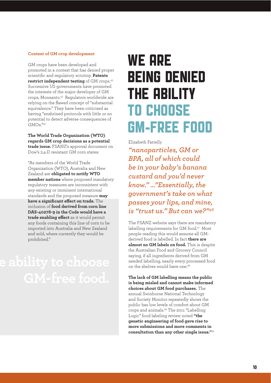#### **Context of GM crop development**

GM crops have been developed and promoted in a context that has denied proper scientific and regulatory scrutiny. **Patents restrict independent testing** of GM crops.43 Successive US governments have promoted the interests of the major developer of GM crops, Monsanto.44 Regulators worldwide are relying on the flawed concept of "substantial equivalence." They have been criticized as having "enshrined protocols with little or no potential to detect adverse consequences of GMOs."45

**The World Trade Organization (WTO) regards GM crop decisions as a potential trade issue.** FSANZ's approval document on Dow's 2,4-D resistant GM corn states:

"As members of the World Trade Organization (WTO), Australia and New Zealand are **obligated to notify WTO member nations** where proposed mandatory regulatory measures are inconsistent with any existing or imminent international standards and the proposed measure **may**  have a significant effect on trade. The inclusion of **food derived from corn line DAS-40278-9 in the Code would have a trade enabling effect** as it would permit any foods containing this line of corn to be imported into Australia and New Zealand and sold, where currently they would be prohibited."

### WE ARE BEING DENIED THE ABILITY TO CHOOSE GM-FREE FOOD

Elizabeth Farrelly

*"nanoparticles, GM or BPA, all of which could be in your baby's banana custard and you'd never know." …"Essentially, the government's take on what passes your lips, and mine, is "trust us." But can we?"46*

The FSANZ website says there are mandatory labelling requirements for GM food.<sup>47</sup> Most people reading this would assume all GMderived food is labelled. In fact **there are almost no GM labels on food.** This is despite the Australian Food and Grocery Council saying, if all ingredients derived from GM needed labelling, nearly every processed food on the shelves would have one.<sup>48</sup>

**The lack of GM labelling means the public is being misled and cannot make informed choices about GM food purchases.** The annual Swinburne National Technology and Society Monitor repeatedly shows the public has low levels of comfort about GM crops and animals.49 The 2011 "Labelling Logic" food labeling review noted **"the genetic engineering of food gave rise to more submissions and more comments in consultation than any other single issue."**<sup>50</sup>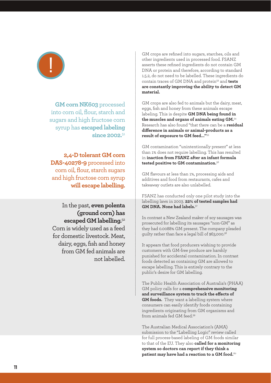

**GM corn NK603** processed into corn oil, flour, starch and sugars and high fructose corn syrup has **escaped labeling since 2002.**51

**2,4-D tolerant GM corn DAS-40278-9** processed into corn oil, flour, starch sugars and high fructose corn syrup **will escape labelling.** 

In the past, **even polenta (ground corn) has escaped GM labelling.**<sup>52</sup> Corn is widely used as a feed for domestic livestock. Meat, dairy, eggs, fish and honey from GM fed animals are not labelled. GM crops are refined into sugars, starches, oils and other ingredients used in processed food. FSANZ asserts these refined ingredients do not contain GM DNA or protein and therefore, according to standard 1.5.2, do not need to be labelled. These ingredients do contain traces of GM DNA and protein53 and **tests are constantly improving the ability to detect GM material.** 

GM crops are also fed to animals but the dairy, meat, eggs, fish and honey from these animals escape labeling. This is despite **GM DNA being found in the muscles and organs of animals eating GM.**54 Research has also found "that there can be a **residual**  difference in animals or animal-products as a **result of exposure to GM feed..."**<sup>55</sup>

GM contamination "unintentionally present" at less than 1% does not require labelling. This has resulted in **inaction from FSANZ after an infant formula tested positive to GM contamination.**<sup>56</sup>

GM flavours at less than 1%, processing aids and additives and food from restaurants, cafes and takeaway outlets are also unlabelled.

FSANZ has conducted only one pilot study into the labelling laws in 2003. **22% of tested samples had GM DNA. None had labels.**<sup>57</sup>

In contrast a New Zealand maker of soy sausages was prosecuted for labelling its sausages "non-GM" as they had 0.0088% GM present. The company pleaded guilty rather than face a legal bill of \$63,000.58

It appears that food producers wishing to provide customers with GM-free produce are harshly punished for accidental contamination. In contrast foods detected as containing GM are allowed to escape labelling. This is entirely contrary to the public's desire for GM labelling.

The Public Health Association of Australia's (PHAA) GM policy calls for a **comprehensive monitoring**  and surveillance system to track the effects of **GM foods.** They want a labelling system where consumers can easily identify foods containing ingredients originating from GM organisms and from animals fed GM feed.59

The Australian Medical Association's (AMA) submission to the "Labelling Logic" review called for full process-based labeling of GM foods similar to that of the EU. They also **called for a monitoring system so doctors can report if they think a patient may have had a reaction to a GM food.**60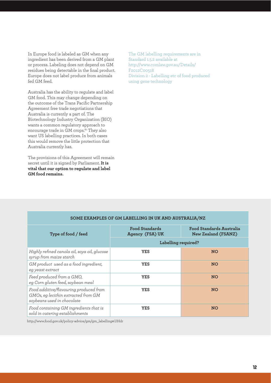In Europe food is labeled as GM when any ingredient has been derived from a GM plant or process. Labeling does not depend on GM residues being detectable in the final product. Europe does not label produce from animals fed GM feed.

Australia has the ability to regulate and label GM food. This may change depending on the outcome of the Trans Pacific Partnership Agreement free trade negotiations that Australia is currently a part of. The Biotechnology Industry Organization (BIO) wants a common regulatory approach to encourage trade in GM crops.<sup>61</sup> They also want US labelling practices. In both cases this would remove the little protection that Australia currently has.

The provisions of this Agreement will remain secret until it is signed by Parliament. **It is vital that our option to regulate and label GM food remains.**

The GM labelling requirements are in Standard 1.5.2 available at http://www.comlaw.gov.au/Details/ F2012C00518 Division 2 - Labelling etc of food produced using gene technology

| SOME EXAMPLES OF GM LABELLING IN UK AND AUSTRALIA/NZ                                                        |                                          |                                                        |
|-------------------------------------------------------------------------------------------------------------|------------------------------------------|--------------------------------------------------------|
| Type of food / feed                                                                                         | <b>Food Standards</b><br>Agency (FSA) UK | Food Standards Australia<br><b>New Zealand (FSANZ)</b> |
|                                                                                                             | Labelling required?                      |                                                        |
| Highly refined canola oil, soya oil, glucose<br>syrup from maize starch                                     | <b>YES</b>                               | <b>NO</b>                                              |
| GM product used as a food ingredient,<br>eg yeast extract                                                   | <b>YES</b>                               | <b>NO</b>                                              |
| Feed produced from a GMO,<br>eg Corn gluten feed, soybean meal                                              | <b>YES</b>                               | <b>NO</b>                                              |
| Food additive/flavouring produced from<br>GMOs, eg lecithin extracted from GM<br>soybeans used in chocolate | <b>YES</b>                               | <b>NO</b>                                              |
| Food containing GM ingredients that is<br>sold in catering establishments                                   | <b>YES</b>                               | <b>NO</b>                                              |

#### **SOME EXAMPLES OF GM LABELLING IN UK AND AUSTRALIA/NZ**

http://www.food.gov.uk/policy-advice/gm/gm\_labelling#.UHdr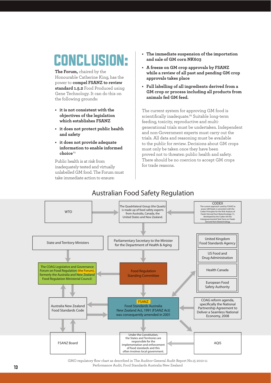**The Forum,** chaired by the Honourable Catherine King, has the power to **compel FSANZ to review standard 1.5.2** Food Produced using Gene Technology. It can do this on the following grounds:

- $\cdot$  it is not consistent with the **objectives of the legislation which establishes FSANZ**
- $\cdot$  it does not protect public health **and safety**
- $\cdot$  it does not provide adequate **information to enable informed choice** <sup>62</sup>

Public health is at risk from inadequately tested and virtually unlabelled GM food. The Forum must take immediate action to ensure:

- **CONCLUSION:** The immediate suspension of the importation and sale of GM corn NK603 **and sale of GM corn NK603**
	- **A freeze on GM crop approvals by FSANZ while a review of all past and pending GM crop approvals takes place**
	- Full labelling of all ingredients derived from a **GM crop or process including all products from animals fed GM feed.**

The current system for approving GM food is scientifically inadequate.<sup>63</sup> Suitable long-term feeding, toxicity, reproductive and multigenerational trials must be undertaken. Independent and non-Government experts must carry out the trials. All data and reasoning must be available to the public for review. Decisions about GM crops must only be taken once they have been proved not to threaten public health and safety. There should be no coercion to accept GM crops for trade reasons.



GMO regulatory flow chart as described in The Auditor-General Audit Report No.15 2010-11 Performance Audit, Food Standards Australia New Zealand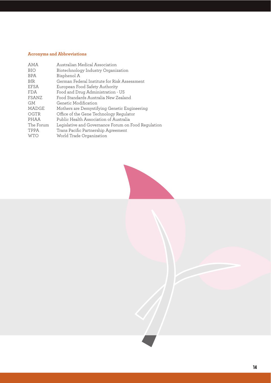### **Acronyms and Abbreviations**

| <b>AMA</b> | Australian Medical Association                      |
|------------|-----------------------------------------------------|
| <b>BIO</b> | Biotechnology Industry Organization                 |
| <b>BPA</b> | Bisphenol A                                         |
| <b>BfR</b> | German Federal Institute for Risk Assessment        |
| EFSA       | European Food Safety Authority                      |
| <b>FDA</b> | Food and Drug Administration - US                   |
| FSANZ      | Food Standards Australia New Zealand                |
| <b>GM</b>  | Genetic Modification                                |
| MADGE      | Mothers are Demystifying Genetic Engineering        |
| OGTR       | Office of the Gene Technology Regulator             |
| PHAA       | Public Health Association of Australia              |
| The Forum  | Legislative and Governance Forum on Food Regulation |
| TPPA       | Trans Pacific Partnership Agreement                 |
| <b>WTO</b> | World Trade Organization                            |
|            |                                                     |



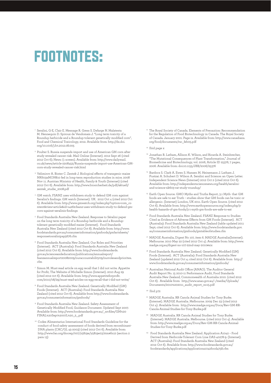### FOOTNOTES:

- 1 Seralini, G-E, Clair E. Mesnage R. Gress S. Defarge N. Malatesta M. Hennequin D. Spiroux de Vendomais J. "Long term toxicity of a Roundup herbicide and a Roundup-tolerant genetically modified corn", Food and Chemical Toxicology, 2012. Available from: http://dx.doi. org/10.1016/j.fct.2012.08.005
- 2 Poulter S. Russia suspends import and use of American GM corn after study revealed cancer risk. Mail Online (Internet). 2012 Sept 26 (cited 2012 Oct 6); News: (1 screen). Available from: http://www.dailymail. co.uk/news/article-2208452/Russia-suspends-import-use-American-GMcorn-study-revealed-cancer-risk.html
- Velimirov A. Binter C. Zentek J. Biological effects of transgenic maize NK603xMON810 fed in long-term reproduction studies in mice. 2008 Nov 11. Austrian Ministry of Health, Family & Youth (Internet) (cited 2012 Oct 6). Available from: http://www.biosicherheit.de/pdf/aktuell/ zentek\_studie\_2008.pdf
- 4 GM watch. FSANZ uses withdrawn study to defend GM corn against Seralini's findings. GM watch (Internet). UK. 2012 Oct 4 (cited 2012 Oct 6). Available from: http://www.gmwatch.org/index.php?option=com\_co ntent&view=article&id=14262:fsanz-uses-withdrawn-study-to-defend-gmcorn-against-seralinis-findings
- 5 Food Standards Australia New Zealand. Response to Séralini paper on the long term toxicity of a Roundup herbicide and a Rounduptolerant genetically modified maize (Internet). Food Standards Australia New Zealand (cited 2012 Oct 8). Available from: http://www. foodstandards.gov.au/consumerinformation/gmfoods/gmfactsheets/ responsetosralinipap5676.cfm
- 6 Food Standards Australia New Zealand. Our Roles and Priorities (Internet). ACT (Australia): Food Standards Australia New Zealand (cited 2012 Oct 6). Available from: http://www.foodstandards. gov.au/scienceandeducation/publications/annualreport/ fsanzannualreport20082009/ouraccountability09/ourrolesandpriorites. cfm
- 7 Simon M. Must-read article on egg recall that I did not write. Appetite for Profit, The Website of Michelle Simon (Internet). 2010 Aug 29 (cited 2012 0ct 6). Available from: http://www.appetiteforprofit. com/2010/08/29/must-read-aricles-on-egg-recall-that-i-did-not-write/
- 8 Food Standards Australia New Zealand. Genetically Modified (GM) Foods (Internet). ACT (Australia): Food Standards Australia New Zealand (cited 2012 Oct 6). Available from http://www.foodstandards. gov.au/consumerinformation/gmfoods/
- 9 Food Standards Australia New Zealand. Safety Assessment of Genetically Modified Food, Guidance Document. Updated Sept 2007. Available from: http://www.foodstandards.gov.au/\_srcfiles/GM%20 FINAL%20Sept%2007L%20\_2\_.pdf
- 10 Codex Alimentarius International Food Standards Guideline for the conduct of food safety assessment of foods derived from recombinant-DNA plants (CAC/GL 45-2003) (cited 2012 Oct 6). Available from: http://www.fao.org/docrep/007/y5819e/y5819e03.htm#fn12 (section 2 para 13)
- <sup>11</sup> The Royal Society of Canada. Elements of Precaution: Recommendation for the Regulation of Food Biotechnology in Canada. The Royal Society of Canada. January 2001. Page ix. Available from: http://www.canadians. org/food/documents/rsc\_feb05.pdf
- 12 Ibid page x
- <sup>13</sup> Jonathan R. Latham, Allison K. Wilson, and Ricarda A. Steinbrecher, "The Mutational Consequences of Plant Transformation," Journal of Biomedicine and Biotechnology, vol. 2006, Article ID 25376, 7 pages, 2006. Available from: doi:10.1155/JBB/2006/25376
- 14 Bardocz S. Clark A. Ewen S. Hansen M. Heinemann J. Latham J. Pustzai A. Schubert D. Wilson A. Seralini and Science: an Open Letter. Independent Science News (Internet) 2012 Oct 2 (cited 2012 Oct 6). Available from: http://independentsciencenews.org/health/seraliniand-science-nk603-rat-study-roundup/
- 15 Earth Open Source. GMO Myths and Truths Report, 3.1 Myth- that GM foods are safe to eat Truth – studies show that GM foods can be toxic or allergenic. (Internet) London, UK 2011. Earth Open Source. (cited 2012 Oct 6). Available from: http://www.earthopensource.org/index.php/3 health-hazards-of-gm-foods/3-1-myth-gm-foods-are-safe-to-eat
- 16 Food Standards Australia New Zealand. FSANZ Response to Studies Cited as Evidence of Adverse Effects from GM Foods (Internet). ACT (Australia): Food Standards Australia New Zealand (table updated 2011 Sept; cited 2012 Oct 6). Available from: http://www.foodstandards.gov. au/consumerinformation/gmfoods/gmtableofstudies.cfm
- 17 MADGE Australia, Digest No 107, item 6. MADGE Australia(Internet). Melbourne. 2010 May 22 (cited 2012 Oct 4). Available from: http://www. madge.org.au/digest-no-107-22nd-may-2010#six
- 18 Food Standards Australia New Zealand. Genetically Modified (GM) Foods (Internet). ACT (Australia): Food Standards Australia New Zealand (updated 2012 Oct 4; cited 2012 Oct 6). Available from http:// www.foodstandards.gov.au/consumerinformation/gmfoods/
- <sup>19</sup> Australian National Audit Office (ANAO). The Auditor General Audit Report No. 15 2010-11 Performance Audit, Food Standards Australia New Zealand, Commonwealth of Australia 2010. (cited 2012 Oct 6). Available from: http://www.anao.gov.au/~/media/Uploads/ Documents/2010%202011\_audit\_report\_no15.pdf
- 20 Ibid p72
- 21 MADGE Australia. RR Canola Animal Studies for Tony Burke. (Internet). MADGE Australia. Melbourne. 2009 Dec 23 (cited 2012 Oct 4). Available from: http://www.madge.org.au/Docs/Rev-GM-RR-Canola-Animal-Studies-for-Tony-Burke.pdf
- 22 MADGE Australia. RR Canola Animal Studies for Tony Burke. (Internet). MADGE Australia. Melbourne. (cited 2012 Oct 4). Available from: http://www.madge.org.au/Docs/Rev-GM-RR-Canola-Animal-Studies-for-Tony-Burke.pdf
- 23 Food Standards Australia New Zealand. Application A1042 Food Derived from Herbicide-Tolerant Corn Line DAS-40278-9. (Internet). ACT (Australia): Food Standards Australia New Zealand (cited 2012 Oct 6). Available from: http://www.foodstandards.gov.au/ foodstandards/applications/applicationa1042food4758.cfm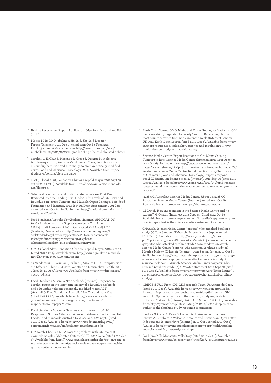- <sup>24</sup> Ibid 1st Assessment Report Application (zip) Submission dated Feb 7th 2011
- Maisto M. Is GMO labeling a He-Said, She-Said Debate? Forbes (Internet). 2011 Dec 19 (cited 2012 Oct 6). Food and Drink:(3 screens). Available from: http://www.forbes.com/sites/ michellemaisto/2011/12/19/is-gmo-labeling-a-he-said-she-said-debate/
- 26 Seralini, G-E, Clair E. Mesnage R. Gress S. Defarge N. Malatesta M. Hennequin D. Spiroux de Vendomais J. "Long term toxicity of a Roundup herbicide and a Roundup-tolerant genetically modified corn", Food and Chemical Toxicology, 2012. Available from: http:// dx.doi.org/10.1016/j.fct.2012.08.005
- 27 GMO, Global Alert, Fondation Charles Leopold Mayer, 2012 Sept 19, (cited 2012 Oct 6). Available from: http://www.ogm-alerte-mondiale. net/?lang=en
- Safe Food Foundation and Institute. Media Release: First Peer Reviewed Lifetime Feeding Trial Finds "Safe" Levels of GM Corn and Roundup can cause Tumours and Multiple Organ Damage. Safe Food Foundation and Institute. 2012 Sept 19. Draft Assessment 2001 Dec 12. (cited 2012 Oct 6). Available from: http://safefoodfoundation.org/ wordpress/?p=1024
- 29 Food Standards Australia New Zealand. (Internet) APPLICATION A416 - Food derived from Glyphosate-tolerant Corn Line NK603. Draft Assessment 2001 Dec 12 (cited 2012 Oct 6) ACT (Australia). Available from: http://www.foodstandards.gov.au/f oodstandardsapplicationsapplicationa416toamendstandarda 18foodproducedusinggenetechnologyglyphosat tolerantcornlinenk603a416 draftexecsummary.cfm
- 30 GMO, Global Alert, Fondation Charles Leopold Mayer, 2012 Sept 19, (cited 2012 Oct 6). Available from: http://www.ogm-alerte-mondiale. net/?lang=en. (5.00-5.20 minutes in)
- 31 de Vendômois JS, Roullier F, Cellier D, Séralini GE. A Comparison of the Effects of Three GM Corn Varieties on Mammalian Health. Int J Biol Sci 2009; 5(7):706-726. Available from http://www.biolsci.org/ v05p0706.htm
- 32 Food Standards Australia New Zealand. (Internet). Response to Séralini paper on the long term toxicity of a Roundup herbicide and a Roundup-tolerant genetically modified maize ACT (Australia): Food Standards Australia New Zealand. 2012 Oct. (cited 2012 Oct 6). Available from: http://www.foodstandards. gov.au/consumerinformation/gmfoods/gmfactsheets/ responsetosralinipap5676.cfm
- 33 Food Standards Australia New Zealand. (Internet). FSANZ Response to Studies Cited as Evidence of Adverse Effects from GM Foods. Food Standards Australia New Zealand. 2011 Sept. (cited 2012 Oct 6). Available from: http://www.foodstandards.gov.au/ consumerinformation/gmfoods/gmtableofstudies.cfm
- GM watch. Shock as EFSA says "no problem" with GM maize it claimed was safe . GM watch (Internet). UK. 2012 Oct 4 (cited 2012 Oct 6). Available from: http://www.gmwatch.org/index.php?option=com\_co ntent&view=article&id=14263:shock-as-efsa-says-qno-problemq-withgm-maize-it-claimed-was-safe
- 35 Earth Open Source. GMO Myths and Truths Report, 2.1 Myth- that GM foods are strictly regulated for safety Truth – GM food regulation in most countries varies from non-existent to weak. (Internet) London, UK 2011. Earth Open Source. (cited 2012 Oct 6). Available from: http:// earthopensource.org/index.php/2-science-and-regulation/2-1-mythgm-foods-are-strictly-regulated-for-safety
- <sup>36</sup> Science Media Centre. Expert Reactions to GM Maize Causing Tumours in Rats. Science Media Centre (Internet). 2012 Sept 19. (cited 2012 Oct 6). Available from: http://www.sciencemediacentre.org/ pages/press\_releases/12-09-19\_gm\_maize\_rats\_tumours.htm ausSMC Australian Science Media Centre. Rapid Reaction: Long Term toxicity of GM maize (Food and Chemical Toxicology)- experts respond. ausSMC Australian Science Media. (Internet). 2012 Sept 19 (cited 2012 Oct 6). Available from: http://www.smc.org.au/2012/09/rapid-reactionlong-term-toxicity-of-gm-maize-food-and-chemical-toxicology-expertsrespond/
- ausSMC Australian Science Media Centre. About us. ausSMC Australian Science Media Centre. (Internet). (cited 2012 Oct 6). Available from: http://www.smc.org.au/about-us/about-us/
- <sup>38</sup> GMwatch. How independent is the Science Media Centre and its experts?. GMwatch (Internet). 2012 Sept 24 (Cited 2012 Oct 6). Available from: http://www.gmwatch.org/latest-listing/51-2012/14224 how-independent-is-the-science-media-centre-and-its-experts
- 39 GMwatch. Science Media Centre "experts" who attacked Seralini's study: (1) Tom Sanders GMwatch (Internet). 2012 Sept 24 (cited 2012 Oct 6). Available from: http://www.gmwatch.org/index. php?option=com\_content&view=article&id=14225:science-media-centreqexpertsq-who-attacked-seralinis-study-1-tom-sanders GMwatch. Science Media Centre "experts" who attacked Seralini's study: (2) Maurice Molony GMwatch (Internet). 2012 Sept 27 (cited 2012 Oct 6). Available from: http://www.gmwatch.org/latest-listing/51-2012/14239 science-media-centre-qexpertsq-who-attacked-seralinis-study-2 maurice-moloney GMwatch. Science Media Centre "experts" who attacked Seralini's study: (3) GMwatch (Internet). 2012 Sept 28 (cited 2012 Oct 6). Available from: http://www.gmwatch.org/latest-listing/51- 2012/14243-science-media-centre-qexpertsq-who-attacked-seralinisstudy-3
- 40 CRIIGEN. FAQ-From CRIIGEN research Team. Universite de Caen. (cited 2012 Oct 6). Available from: http://www.criigen.org/SiteEn/ index.php?option=com\_content&task=view&id=368&Itemid=1 GM watch. Dr Spiroux co-author of the shocking study responds to criticism. GM watch (Internet). 2012 Oct 1 (Cited 2012 Oct 6). Available from: http://gmwatch.org/latest-listing/51-2012/14250-dr-spiroux-coauthor-of-the-shocking-study-responds-to-criticisms
- 41 Bardocz S. Clark A. Ewen S. Hansen M. Heinemann J. Latham J. Pustzai A. Schubert D. Wilson A. Seralini and Science: an Open Letter. Independent Science News (Internet) 2012 Oct 2 (cited 2012 Oct 6). Available from: http://independentsciencenews.org/health/seraliniand-science-nk603-rat-study-roundup/
- 42 Fox News Kills Monsanto Milk Story. (cited 2012 Oct 6). Available from: http://www.youtube.com/watch?v=3afJi6A58y0&feature=youtu.be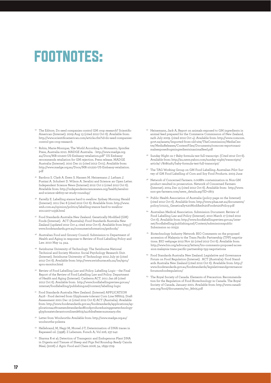### FOOTNOTES:

- 43 The Editors. Do seed companies control GM crop research? Scientific American (Internet). 2009 Aug 13 (cited 2012 Oct 6). Available from: http://www.scientificamerican.com/article.cfm?id=do-seed-companiescontrol-gm-crop-research
- 44 Robin, Marie-Monique; The World According to Monsanto, Spinifex Press, Australia 2010. MADGE Australia. - http://www.madge.org. au/Docs/MR-101220-US-Embassy-retaliation.pdf" US Embassy recommends retaliation for GM rejection. Press release. MADGE Australia (Internet). 2010 Dec 21 (cited 2012 Oct1). Available from: http://www.madge.org.au/Docs/MR-101220-US-Embassy-retaliation. pdf
- 45 Bardocz S. Clark A. Ewen S. Hansen M. Heinemann J. Latham J. Pustzai A. Schubert D. Wilson A. Seralini and Science: an Open Letter. Independent Science News (Internet) 2012 Oct 2 (cited 2012 Oct 6). Available from: http://independentsciencenews.org/health/seraliniand-science-nk603-rat-study-roundup/
- 46 Farrelly E. Labelling stance hard to swallow. Sydney Morning Herald (Internet). 2011 Dec 8 (cited 2012 Oct 6). Available from: http://www. smh.com.au/opinion/politics/labelling-stance-hard-to-swallow-20111207-1oj3k.html
- 47 Food Standards Australia New Zealand. Genetically Modified (GM) Foods (Internet). ACT (Australia): Food Standards Australia New Zealand (updated 2012 Oct 4; cited 2012 Oct 6). Available from http:// www.foodstandards.gov.au/consumerinformation/gmfoods/
- Australian Food and Grocery Council. Submission to Department of Health and Aging in response to Review of Food Labelling Policy and Law. 2010 May 14. p44.
- 49 Swinburne University of Technology. The Swinburne National Technical and Society Monitor. Social Psychology Research Unit. (Internet). Swinburne University of Technology 2012 July 30 (cited 2012 Oct 6). Available from: http://www.swinburne.edu.au/lss/spru/ spru-monitor.html
- 50 Review of Food Labelling Law and Policy. Labelling Logic the Final Report of the Review of Food Labelling Law and Policy. Department of Health and Aging (Internet). Canberra ACT. 2011 Jan 28 (cited 2012 Oct 6). Available from: http://www.foodlabellingreview.gov.au/ internet/foodlabelling/publishing.nsf/content/labelling-logic
- 51 Food Standards Australia New Zealand. (Internet) APPLICATION A416 - Food derived from Glyphosate-tolerant Corn Line NK603. Draft Assessment 2001 Dec 12 (cited 2012 Oct 6) ACT (Australia). Available from: http://www.foodstandards.gov.au/foodstandards/applications/applicationa416toamendstandarda18foodproducedusinggenetechnologyglyphosatetolerantcornlinenk603/a416draftexecsummary.cfm
- 52 Letter from Woolworths Available from: http://www.madge.org.au/ woolworths-polenta
- 53 Hellebrand, M, Nagy M, Morsel J-T, Determination of DNA traces in Rapeseed oil. (1998). Z Lebensm. Forsch A; Vol 206, 237-242
- 54 Sharma R et al; Detection of Transgenic and Endogenous Plant DNA in Digesta and Tissues of Sheep and Pigs Fed Roundup Ready Canola Meal, (2006) J. Agric Food and Chem 2006, 54, 1699-1709
- Heinemann, Jack A, Report on animals exposed to GM ingredients in animal feed prepared for the Commerce Commission of New Zealand, 24th July 2009. (cited 2012 Oct 4). Available from: http://www.comcom. govt.nz/assets/Imported-from-old-site/TheCommission/MediaCentre/MediaReleases/ContentFiles/Documents/comcom-reportonanimalsexposedtogmingredientsinanimalfeed.pdf
- 56 Sunday Night on 7 Baby formula test full transcript. (Cited 2012 Oct 6). Available from: http://au.news.yahoo.com/sunday-night/transcripts/ article/-/8080461/baby-formula-test-full-transcript/
- 57 The TAG Working Group on GM Food Labelling. Australian Pilot Survey of GM Food Labelling of Corn and Soy Food Products. 2003 June
- 58 Network of Concerned Farmers. 0.0088% contamination in Non-GM product resulted in prosecution. Network of Concerned Farmers (Internet). 2004 Dec 15 (cited 2012 Oct 6). Available from: http://www. non-gm-farmers.com/news\_details.asp?ID=1873
- 59 Public Health Association of Australia (policy page on the Internet) (cited 2012 Oct 6). Available from: http://www.phaa.net.au/documents/ policy/101215\_Genetically%20Modified%20Foods%20Policy.pdf
- 60 Australian Medical Association. Submission Document. Review of Food Labelling Law and Policy (Internet). 2010 March 17 (cited 2012 Oct 6). Available from: http://www.foodlabellingreview.gov.au/internet/foodlabelling/publishing.nsf/Content/submissionspublic Submission no 00531
- <sup>61</sup> Biotechnology Industry Network. BIO Comments on the proposed accession of Malaysia to the Trans Pacific Partnership (TPP) negotiations. BIO webpage 2012 Nov 22 (cited 2012 Oct 6). Available from: http://www.bio.org/advocacy/letters/bio-comments-proposed-accession-malaysia-trans-pacific-partnership-tpp-negotiations
- Food Standards Australia New Zealand. Legislative and Governance Forum on Food Regulation (Internet). ACT (Australia): Food Standards Australia New Zealand (cited 2012 Oct 6). Available from: http:// www.foodstandards.gov.au/foodstandards/legislativeandgovernanceforumonfoodregulation/
- 63 The Royal Society of Canada. Elements of Precaution: Recommendation for the Regulation of Food Biotechnology in Canada. The Royal Society of Canada. January 2001. Available from: http://www.canadians.org/food/documents/rsc\_feb05.pdf